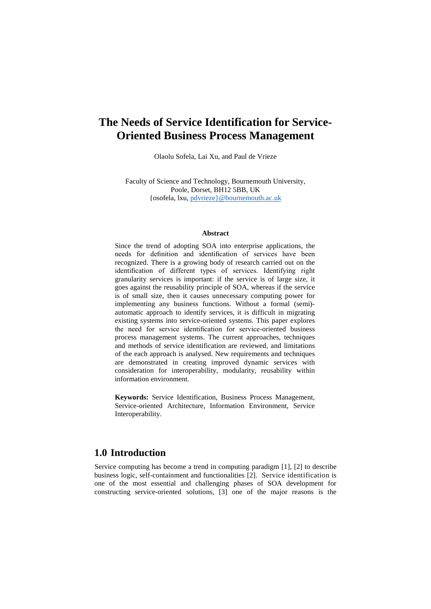# **The Needs of Service Identification for Service-Oriented Business Process Management**

Olaolu Sofela, Lai Xu, and Paul de Vrieze

Faculty of Science and Technology, Bournemouth University, Poole, Dorset, BH12 5BB, UK {osofela, lxu, [pdvrieze}@bournemouth.ac.uk](mailto:pdvrieze%7D@bournemouth.ac.uk)

#### **Abstract**

Since the trend of adopting SOA into enterprise applications, the needs for definition and identification of services have been recognized. There is a growing body of research carried out on the identification of different types of services. Identifying right granularity services is important: if the service is of large size, it goes against the reusability principle of SOA, whereas if the service is of small size, then it causes unnecessary computing power for implementing any business functions. Without a formal (semi) automatic approach to identify services, it is difficult in migrating existing systems into service-oriented systems. This paper explores the need for service identification for service-oriented business process management systems. The current approaches, techniques and methods of service identification are reviewed, and limitations of the each approach is analysed. New requirements and techniques are demonstrated in creating improved dynamic services with consideration for interoperability, modularity, reusability within information environment.

**Keywords:** Service Identification, Business Process Management, Service-oriented Architecture, Information Environment, Service Interoperability.

### **1.0 Introduction**

Service computing has become a trend in computing paradigm [1], [2] to describe business logic, self-containment and functionalities [2]. Service identification is one of the most essential and challenging phases of SOA development for constructing service-oriented solutions, [3] one of the major reasons is the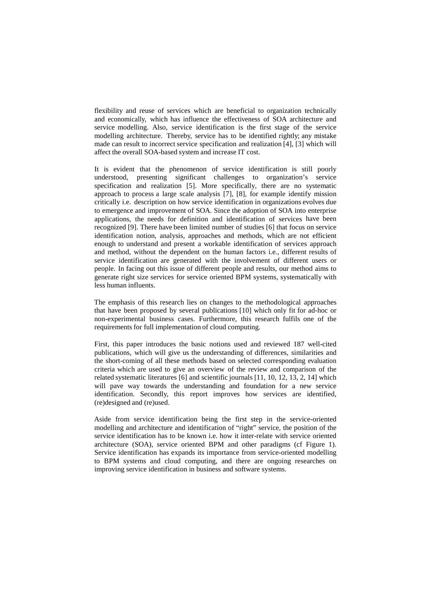flexibility and reuse of services which are beneficial to organization technically and economically, which has influence the effectiveness of SOA architecture and service modelling. Also, service identification is the first stage of the service modelling architecture. Thereby, service has to be identified rightly; any mistake made can result to incorrect service specification and realization [4], [3] which will affect the overall SOA-based system and increase IT cost.

It is evident that the phenomenon of service identification is still poorly understood, presenting significant challenges to organization's service specification and realization [5]. More specifically, there are no systematic approach to process a large scale analysis [7], [8], for example identify mission critically i.e. description on how service identification in organizations evolves due to emergence and improvement of SOA. Since the adoption of SOA into enterprise applications, the needs for definition and identification of services have been recognized [9]. There have been limited number of studies [6] that focus on service identification notion, analysis, approaches and methods, which are not efficient enough to understand and present a workable identification of services approach and method, without the dependent on the human factors i.e., different results of service identification are generated with the involvement of different users or people. In facing out this issue of different people and results, our method aims to generate right size services for service oriented BPM systems, systematically with less human influents.

The emphasis of this research lies on changes to the methodological approaches that have been proposed by several publications [10] which only fit for ad-hoc or non-experimental business cases. Furthermore, this research fulfils one of the requirements for full implementation of cloud computing.

First, this paper introduces the basic notions used and reviewed 187 well-cited publications, which will give us the understanding of differences, similarities and the short-coming of all these methods based on selected corresponding evaluation criteria which are used to give an overview of the review and comparison of the related systematic literatures [6] and scientific journals [11, 10, 12, 13, 2, 14] which will pave way towards the understanding and foundation for a new service identification. Secondly, this report improves how services are identified, (re)designed and (re)used.

Aside from service identification being the first step in the service-oriented modelling and architecture and identification of "right" service, the position of the service identification has to be known i.e. how it inter-relate with service oriented architecture (SOA), service oriented BPM and other paradigms (cf Figure 1). Service identification has expands its importance from service-oriented modelling to BPM systems and cloud computing, and there are ongoing researches on improving service identification in business and software systems.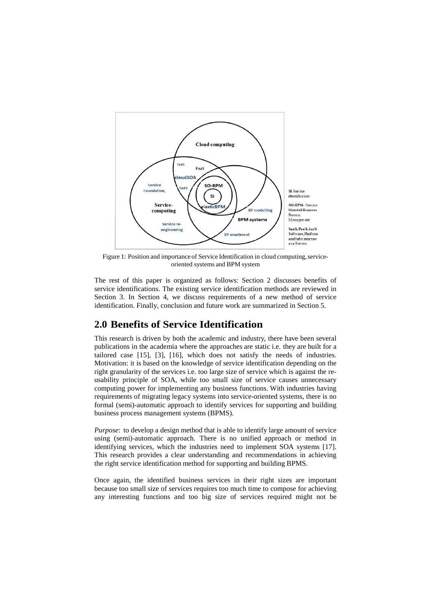

Figure 1: Position and importance of Service Identification in cloud computing, serviceoriented systems and BPM system

The rest of this paper is organized as follows: Section 2 discusses benefits of service identifications. The existing service identification methods are reviewed in Section 3. In Section 4, we discuss requirements of a new method of service identification. Finally, conclusion and future work are summarized in Section 5.

## **2.0 Benefits of Service Identification**

This research is driven by both the academic and industry, there have been several publications in the academia where the approaches are static i.e. they are built for a tailored case [15], [3], [16], which does not satisfy the needs of industries. Motivation: it is based on the knowledge of service identification depending on the right granularity of the services i.e. too large size of service which is against the reusability principle of SOA, while too small size of service causes unnecessary computing power for implementing any business functions. With industries having requirements of migrating legacy systems into service-oriented systems, there is no formal (semi)-automatic approach to identify services for supporting and building business process management systems (BPMS).

*Purpose*: to develop a design method that is able to identify large amount of service using (semi)-automatic approach. There is no unified approach or method in identifying services, which the industries need to implement SOA systems [17]. This research provides a clear understanding and recommendations in achieving the right service identification method for supporting and building BPMS.

Once again, the identified business services in their right sizes are important because too small size of services requires too much time to compose for achieving any interesting functions and too big size of services required might not be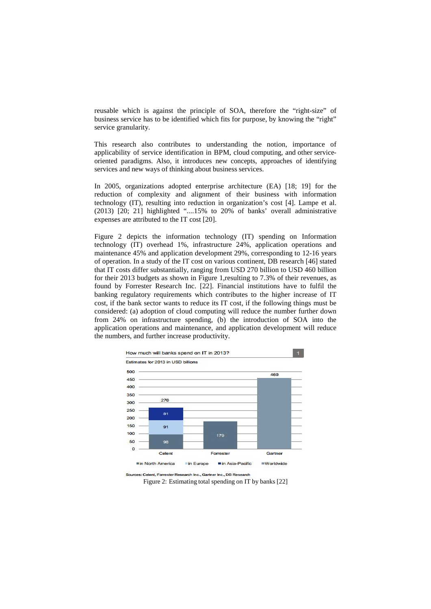reusable which is against the principle of SOA, therefore the "right-size" of business service has to be identified which fits for purpose, by knowing the "right" service granularity.

This research also contributes to understanding the notion, importance of applicability of service identification in BPM, cloud computing, and other serviceoriented paradigms. Also, it introduces new concepts, approaches of identifying services and new ways of thinking about business services.

In 2005, organizations adopted enterprise architecture (EA) [18; 19] for the reduction of complexity and alignment of their business with information technology (IT), resulting into reduction in organization's cost [4]. Lampe et al. (2013) [20; 21] highlighted "....15% to 20% of banks' overall administrative expenses are attributed to the IT cost [20].

Figure 2 depicts the information technology (IT) spending on Information technology (IT) overhead 1%, infrastructure 24%, application operations and maintenance 45% and application development 29%, corresponding to 12-16 years of operation. In a study of the IT cost on various continent, DB research [46] stated that IT costs differ substantially, ranging from USD 270 billion to USD 460 billion for their 2013 budgets as shown in Figure 1,resulting to 7.3% of their revenues, as found by Forrester Research Inc. [22]. Financial institutions have to fulfil the banking regulatory requirements which contributes to the higher increase of IT cost, if the bank sector wants to reduce its IT cost, if the following things must be considered: (a) adoption of cloud computing will reduce the number further down from 24% on infrastructure spending, (b) the introduction of SOA into the application operations and maintenance, and application development will reduce the numbers, and further increase productivity.



Sources: Celent, Forrester Research Inc., Gartner Inc., DB Research

Figure 2: Estimating total spending on IT by banks [22]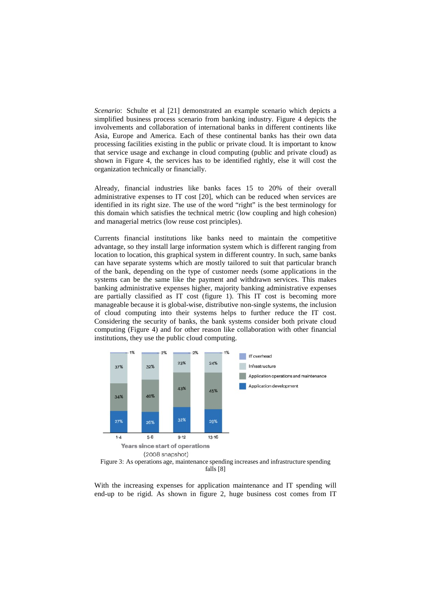*Scenario*: Schulte et al [21] demonstrated an example scenario which depicts a simplified business process scenario from banking industry. Figure 4 depicts the involvements and collaboration of international banks in different continents like Asia, Europe and America. Each of these continental banks has their own data processing facilities existing in the public or private cloud. It is important to know that service usage and exchange in cloud computing (public and private cloud) as shown in Figure 4, the services has to be identified rightly, else it will cost the organization technically or financially.

Already, financial industries like banks faces 15 to 20% of their overall administrative expenses to IT cost [20], which can be reduced when services are identified in its right size. The use of the word "right" is the best terminology for this domain which satisfies the technical metric (low coupling and high cohesion) and managerial metrics (low reuse cost principles).

Currents financial institutions like banks need to maintain the competitive advantage, so they install large information system which is different ranging from location to location, this graphical system in different country. In such, same banks can have separate systems which are mostly tailored to suit that particular branch of the bank, depending on the type of customer needs (some applications in the systems can be the same like the payment and withdrawn services. This makes banking administrative expenses higher, majority banking administrative expenses are partially classified as IT cost (figure 1). This IT cost is becoming more manageable because it is global-wise, distributive non-single systems, the inclusion of cloud computing into their systems helps to further reduce the IT cost. Considering the security of banks, the bank systems consider both private cloud computing (Figure 4) and for other reason like collaboration with other financial institutions, they use the public cloud computing.



falls [8]

With the increasing expenses for application maintenance and IT spending will end-up to be rigid. As shown in figure 2, huge business cost comes from IT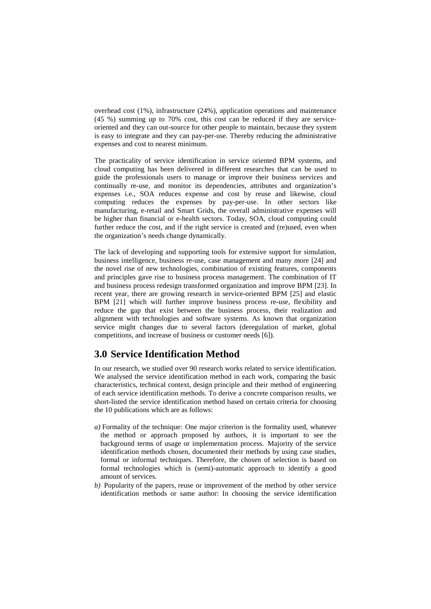overhead cost (1%), infrastructure (24%), application operations and maintenance (45 %) summing up to 70% cost, this cost can be reduced if they are serviceoriented and they can out-source for other people to maintain, because they system is easy to integrate and they can pay-per-use. Thereby reducing the administrative expenses and cost to nearest minimum.

The practicality of service identification in service oriented BPM systems, and cloud computing has been delivered in different researches that can be used to guide the professionals users to manage or improve their business services and continually re-use, and monitor its dependencies, attributes and organization's expenses i.e., SOA reduces expense and cost by reuse and likewise, cloud computing reduces the expenses by pay-per-use. In other sectors like manufacturing, e-retail and Smart Grids, the overall administrative expenses will be higher than financial or e-health sectors. Today, SOA, cloud computing could further reduce the cost, and if the right service is created and (re)used, even when the organization's needs change dynamically.

The lack of developing and supporting tools for extensive support for simulation, business intelligence, business re-use, case management and many more [24] and the novel rise of new technologies, combination of existing features, components and principles gave rise to business process management. The combination of IT and business process redesign transformed organization and improve BPM [23]. In recent year, there are growing research in service-oriented BPM [25] and elastic BPM [21] which will further improve business process re-use, flexibility and reduce the gap that exist between the business process, their realization and alignment with technologies and software systems. As known that organization service might changes due to several factors (deregulation of market, global competitions, and increase of business or customer needs [6]).

## **3.0 Service Identification Method**

In our research, we studied over 90 research works related to service identification. We analysed the service identification method in each work, comparing the basic characteristics, technical context, design principle and their method of engineering of each service identification methods. To derive a concrete comparison results, we short-listed the service identification method based on certain criteria for choosing the 10 publications which are as follows:

- $a)$  Formality of the technique: One major criterion is the formality used, whatever the method or approach proposed by authors, it is important to see the background terms of usage or implementation process. Majority of the service identification methods chosen, documented their methods by using case studies, formal or informal techniques. Therefore, the chosen of selection is based on formal technologies which is (semi)-automatic approach to identify a good amount of services.
- *b)* Popularity of the papers, reuse or improvement of the method by other service identification methods or same author: In choosing the service identification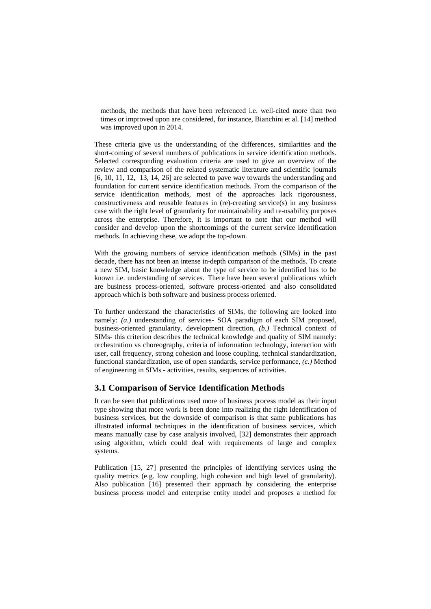methods, the methods that have been referenced i.e. well-cited more than two times or improved upon are considered, for instance, Bianchini et al. [14] method was improved upon in 2014.

These criteria give us the understanding of the differences, similarities and the short-coming of several numbers of publications in service identification methods. Selected corresponding evaluation criteria are used to give an overview of the review and comparison of the related systematic literature and scientific journals  $[6, 10, 11, 12, 13, 14, 26]$  are selected to pave way towards the understanding and foundation for current service identification methods. From the comparison of the service identification methods, most of the approaches lack rigorousness, constructiveness and reusable features in (re)-creating service(s) in any business case with the right level of granularity for maintainability and re-usability purposes across the enterprise. Therefore, it is important to note that our method will consider and develop upon the shortcomings of the current service identification methods. In achieving these, we adopt the top-down.

With the growing numbers of service identification methods (SIMs) in the past decade, there has not been an intense in-depth comparison of the methods. To create a new SIM, basic knowledge about the type of service to be identified has to be known i.e. understanding of services. There have been several publications which are business process-oriented, software process-oriented and also consolidated approach which is both software and business process oriented.

To further understand the characteristics of SIMs, the following are looked into namely: *(a.)* understanding of services- SOA paradigm of each SIM proposed, business-oriented granularity, development direction, *(b.)* Technical context of SIMs- this criterion describes the technical knowledge and quality of SIM namely: orchestration vs choreography, criteria of information technology, interaction with user, call frequency, strong cohesion and loose coupling, technical standardization, functional standardization, use of open standards, service performance, *(c.)* Method of engineering in SIMs - activities, results, sequences of activities.

#### **3.1 Comparison of Service Identification Methods**

It can be seen that publications used more of business process model as their input type showing that more work is been done into realizing the right identification of business services, but the downside of comparison is that same publications has illustrated informal techniques in the identification of business services, which means manually case by case analysis involved, [32] demonstrates their approach using algorithm, which could deal with requirements of large and complex systems.

Publication [15, 27] presented the principles of identifying services using the quality metrics (e.g. low coupling, high cohesion and high level of granularity). Also publication [16] presented their approach by considering the enterprise business process model and enterprise entity model and proposes a method for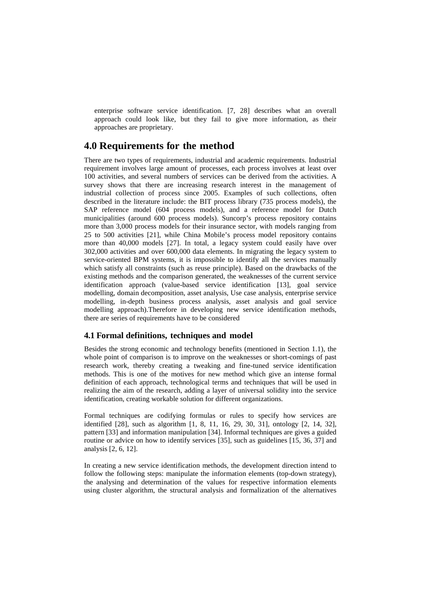enterprise software service identification. [7, 28] describes what an overall approach could look like, but they fail to give more information, as their approaches are proprietary.

### **4.0 Requirements for the method**

There are two types of requirements, industrial and academic requirements. Industrial requirement involves large amount of processes, each process involves at least over 100 activities, and several numbers of services can be derived from the activities. A survey shows that there are increasing research interest in the management of industrial collection of process since 2005. Examples of such collections, often described in the literature include: the BIT process library (735 process models), the SAP reference model (604 process models), and a reference model for Dutch municipalities (around 600 process models). Suncorp's process repository contains more than 3,000 process models for their insurance sector, with models ranging from 25 to 500 activities [21], while China Mobile's process model repository contains more than 40,000 models [27]. In total, a legacy system could easily have over 302,000 activities and over 600,000 data elements. In migrating the legacy system to service-oriented BPM systems, it is impossible to identify all the services manually which satisfy all constraints (such as reuse principle). Based on the drawbacks of the existing methods and the comparison generated, the weaknesses of the current service identification approach (value-based service identification [13], goal service modelling, domain decomposition, asset analysis, Use case analysis, enterprise service modelling, in-depth business process analysis, asset analysis and goal service modelling approach).Therefore in developing new service identification methods, there are series of requirements have to be considered

### **4.1 Formal definitions, techniques and model**

Besides the strong economic and technology benefits (mentioned in Section 1.1), the whole point of comparison is to improve on the weaknesses or short-comings of past research work, thereby creating a tweaking and fine-tuned service identification methods. This is one of the motives for new method which give an intense formal definition of each approach, technological terms and techniques that will be used in realizing the aim of the research, adding a layer of universal solidity into the service identification, creating workable solution for different organizations.

Formal techniques are codifying formulas or rules to specify how services are identified [28], such as algorithm [1, 8, 11, 16, 29, 30, 31], ontology [2, 14, 32], pattern [33] and information manipulation [34]. Informal techniques are gives a guided routine or advice on how to identify services [35], such as guidelines [15, 36, 37] and analysis [2, 6, 12].

In creating a new service identification methods, the development direction intend to follow the following steps: manipulate the information elements (top-down strategy), the analysing and determination of the values for respective information elements using cluster algorithm, the structural analysis and formalization of the alternatives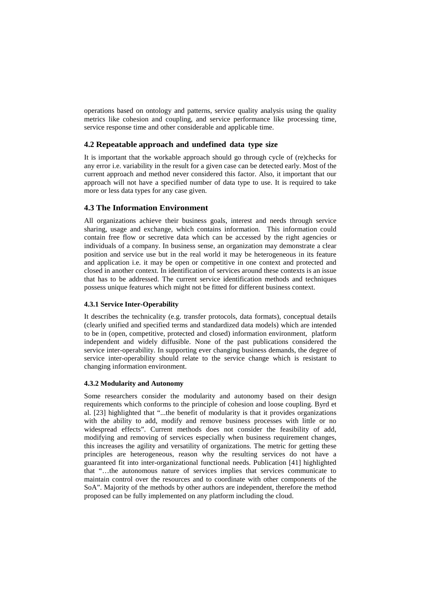operations based on ontology and patterns, service quality analysis using the quality metrics like cohesion and coupling, and service performance like processing time, service response time and other considerable and applicable time.

#### **4.2 Repeatable approach and undefined data type size**

It is important that the workable approach should go through cycle of (re)checks for any error i.e. variability in the result for a given case can be detected early. Most of the current approach and method never considered this factor. Also, it important that our approach will not have a specified number of data type to use. It is required to take more or less data types for any case given.

#### **4.3 The Information Environment**

All organizations achieve their business goals, interest and needs through service sharing, usage and exchange, which contains information. This information could contain free flow or secretive data which can be accessed by the right agencies or individuals of a company. In business sense, an organization may demonstrate a clear position and service use but in the real world it may be heterogeneous in its feature and application i.e. it may be open or competitive in one context and protected and closed in another context. In identification of services around these contexts is an issue that has to be addressed. The current service identification methods and techniques possess unique features which might not be fitted for different business context.

#### **4.3.1 Service Inter-Operability**

It describes the technicality (e.g. transfer protocols, data formats), conceptual details (clearly unified and specified terms and standardized data models) which are intended to be in (open, competitive, protected and closed) information environment, platform independent and widely diffusible. None of the past publications considered the service inter-operability. In supporting ever changing business demands, the degree of service inter-operability should relate to the service change which is resistant to changing information environment.

#### **4.3.2 Modularity and Autonomy**

Some researchers consider the modularity and autonomy based on their design requirements which conforms to the principle of cohesion and loose coupling. Byrd et al. [23] highlighted that "...the benefit of modularity is that it provides organizations with the ability to add, modify and remove business processes with little or no widespread effects". Current methods does not consider the feasibility of add, modifying and removing of services especially when business requirement changes, this increases the agility and versatility of organizations. The metric for getting these principles are heterogeneous, reason why the resulting services do not have a guaranteed fit into inter-organizational functional needs. Publication [41] highlighted that "…the autonomous nature of services implies that services communicate to maintain control over the resources and to coordinate with other components of the SoA". Majority of the methods by other authors are independent, therefore the method proposed can be fully implemented on any platform including the cloud.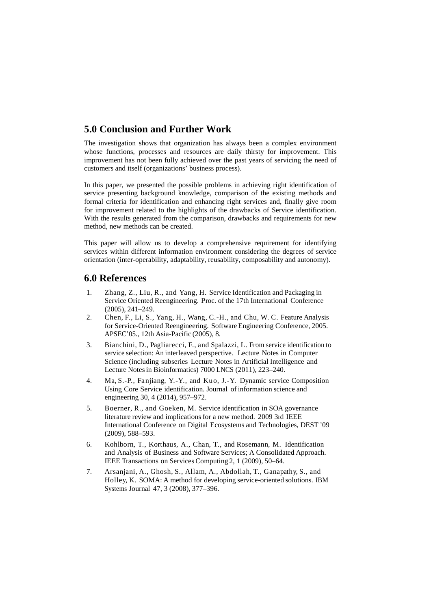## **5.0 Conclusion and Further Work**

The investigation shows that organization has always been a complex environment whose functions, processes and resources are daily thirsty for improvement. This improvement has not been fully achieved over the past years of servicing the need of customers and itself (organizations' business process).

In this paper, we presented the possible problems in achieving right identification of service presenting background knowledge, comparison of the existing methods and formal criteria for identification and enhancing right services and, finally give room for improvement related to the highlights of the drawbacks of Service identification. With the results generated from the comparison, drawbacks and requirements for new method, new methods can be created.

This paper will allow us to develop a comprehensive requirement for identifying services within different information environment considering the degrees of service orientation (inter-operability, adaptability, reusability, composability and autonomy).

### **6.0 References**

- 1. Zhang, Z., Liu, R., and Yang, H. Service Identification and Packaging in Service Oriented Reengineering. Proc. of the 17th International Conference (2005), 241–249.
- 2. Chen, F., Li, S., Yang, H., Wang, C.-H., and Chu, W. C. Feature Analysis for Service-Oriented Reengineering. Software Engineering Conference, 2005. APSEC'05., 12th Asia-Pacific (2005), 8.
- 3. Bianchini, D., Pagliarecci, F., and Spalazzi, L. From service identification to service selection: An interleaved perspective. Lecture Notes in Computer Science (including subseries Lecture Notes in Artificial Intelligence and Lecture Notesin Bioinformatics) 7000 LNCS (2011), 223–240.
- 4. Ma, S.-P., Fanjiang, Y.-Y., and Kuo, J.-Y. Dynamic service Composition Using Core Service identification. Journal of information science and engineering 30, 4 (2014), 957–972.
- 5. Boerner, R., and Goeken, M. Service identification in SOA governance literature review and implications for a new method. 2009 3rd IEEE International Conference on Digital Ecosystems and Technologies, DEST '09 (2009), 588–593.
- 6. Kohlborn, T., Korthaus, A., Chan, T., and Rosemann, M. Identification and Analysis of Business and Software Services; A Consolidated Approach. IEEE Transactions on Services Computing 2, 1 (2009), 50–64.
- 7. Arsanjani, A., Ghosh, S., Allam, A., Abdollah, T., Ganapathy, S., and Holley, K. SOMA: A method for developing service-oriented solutions. IBM Systems Journal 47, 3 (2008), 377–396.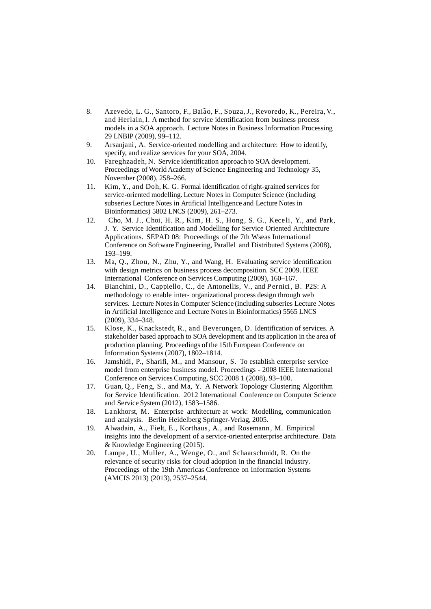- 8. Azevedo, L. G., Santoro, F., Baião, F., Souza, J., Revoredo, K., Pereira, V., and Herlain,I. A method for service identification from business process models in a SOA approach. Lecture Notes in Business Information Processing 29 LNBIP (2009), 99–112.
- 9. Arsanjani, A. Service-oriented modelling and architecture: How to identify, specify, and realize services for your SOA, 2004.
- 10. Fareghzadeh, N. Service identification approach to SOA development. Proceedings of World Academy of Science Engineering and Technology 35, November (2008), 258–266.
- 11. Kim, Y., and Doh, K. G. Formal identification of right-grained services for service-oriented modelling. Lecture Notes in Computer Science (including subseries Lecture Notes in Artificial Intelligence and Lecture Notes in Bioinformatics) 5802 LNCS (2009), 261–273.
- 12. Cho, M. J., Choi, H. R., Kim, H. S., Hong, S. G., Keceli, Y., and Park, J. Y. Service Identification and Modelling for Service Oriented Architecture Applications. SEPAD 08: Proceedings of the 7th Wseas International Conference on Software Engineering, Parallel and Distributed Systems (2008), 193–199.
- 13. Ma, Q., Zhou, N., Zhu, Y., and Wang, H. Evaluating service identification with design metrics on business process decomposition. SCC 2009. IEEE International Conference on Services Computing (2009), 160–167.
- 14. Bianchini, D., Cappiello, C., de Antonellis, V., and Pernici, B. P2S: A methodology to enable inter- organizational process design through web services. Lecture Notes in Computer Science (including subseries Lecture Notes in Artificial Intelligence and Lecture Notesin Bioinformatics) 5565 LNCS (2009), 334–348.
- 15. Klose, K., Knackstedt, R., and Beverungen, D. Identification of services. A stakeholder based approach to SOA development and its application in the area of production planning. Proceedings ofthe 15th European Conference on Information Systems (2007), 1802–1814.
- 16. Jamshidi, P., Sharifi, M., and Mansour, S. To establish enterprise service model from enterprise business model. Proceedings - 2008 IEEE International Conference on Services Computing, SCC 2008 1 (2008), 93–100.
- 17. Guan, Q., Feng, S., and Ma, Y. A Network Topology Clustering Algorithm for Service Identification. 2012 International Conference on Computer Science and Service System (2012), 1583–1586.
- 18. Lankhorst, M. Enterprise architecture at work: Modelling, communication and analysis. Berlin Heidelberg Springer-Verlag, 2005.
- 19. Alwadain, A., Fielt, E., Korthaus, A., and Rosemann, M. Empirical insights into the development of a service-oriented enterprise architecture. Data & Knowledge Engineering (2015).
- 20. Lampe, U., Muller, A., Wenge, O., and Schaarschmidt, R. On the relevance of security risks for cloud adoption in the financial industry. Proceedings of the 19th Americas Conference on Information Systems (AMCIS 2013) (2013), 2537–2544.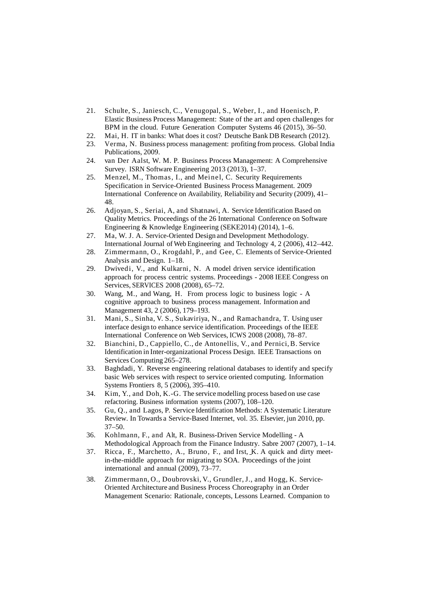- 21. Schulte, S., Janiesch, C., Venugopal, S., Weber, I., and Hoenisch, P. Elastic Business Process Management: State of the art and open challenges for BPM in the cloud. Future Generation Computer Systems 46 (2015), 36–50.
- 22. Mai, H. IT in banks: What does it cost? Deutsche Bank DB Research (2012).
- 23. Verma, N. Business process management: profiting from process. Global India Publications, 2009.
- 24. van Der Aalst, W. M. P. Business Process Management: A Comprehensive Survey. ISRN Software Engineering 2013 (2013), 1–37.
- 25. Menzel, M., Thomas, I., and Meinel, C. Security Requirements Specification in Service-Oriented Business Process Management. 2009 International Conference on Availability, Reliability and Security (2009), 41– 48.
- 26. Adjoyan, S., Seriai, A, and Shatnawi, A. Service Identification Based on Quality Metrics. Proceedings of the 26 International Conference on Software Engineering & Knowledge Engineering (SEKE2014) (2014), 1–6.
- 27. Ma, W. J. A. Service-Oriented Design and Development Methodology. International Journal of Web Engineering and Technology 4, 2 (2006), 412–442.
- 28. Zimmermann, O., Krogdahl, P., and Gee, C. Elements of Service-Oriented Analysis and Design. 1–18.
- 29. Dwivedi, V., and Kulkarni, N. A model driven service identification approach for process centric systems. Proceedings - 2008 IEEE Congress on Services, SERVICES 2008 (2008), 65–72.
- 30. Wang, M., and Wang, H. From process logic to business logic A cognitive approach to business process management. Information and Management 43, 2 (2006), 179–193.
- 31. Mani, S., Sinha, V. S., Sukaviriya, N., and Ramachandra, T. Using user interface design to enhance service identification. Proceedings of the IEEE International Conference on Web Services, ICWS 2008 (2008), 78–87.
- 32. Bianchini, D., Cappiello, C., de Antonellis, V., and Pernici,B. Service Identification in Inter-organizational Process Design. IEEE Transactions on Services Computing 265–278.
- 33. Baghdadi, Y. Reverse engineering relational databases to identify and specify basic Web services with respect to service oriented computing. Information Systems Frontiers 8, 5 (2006), 395–410.
- 34. Kim, Y., and Doh, K.-G. The service modelling process based on use case refactoring. Business information systems (2007), 108–120.
- 35. Gu, Q., and Lagos, P. Service Identification Methods: A Systematic Literature Review. In Towards a Service-Based Internet, vol. 35. Elsevier, jun 2010, pp. 37–50.
- 36. Kohlmann, F., and Alt, R. Business-Driven Service Modelling A Methodological Approach from the Finance Industry. Sabre 2007 (2007), 1–14.
- 37. Ricca, F., Marchetto, A., Bruno, F., and Irst, K. A quick and dirty meetin-the-middle approach for migrating to SOA. Proceedings of the joint international and annual (2009), 73–77.
- 38. Zimmermann, O., Doubrovski, V., Grundler, J., and Hogg, K. Service-Oriented Architecture and Business Process Choreography in an Order Management Scenario: Rationale, concepts, Lessons Learned. Companion to